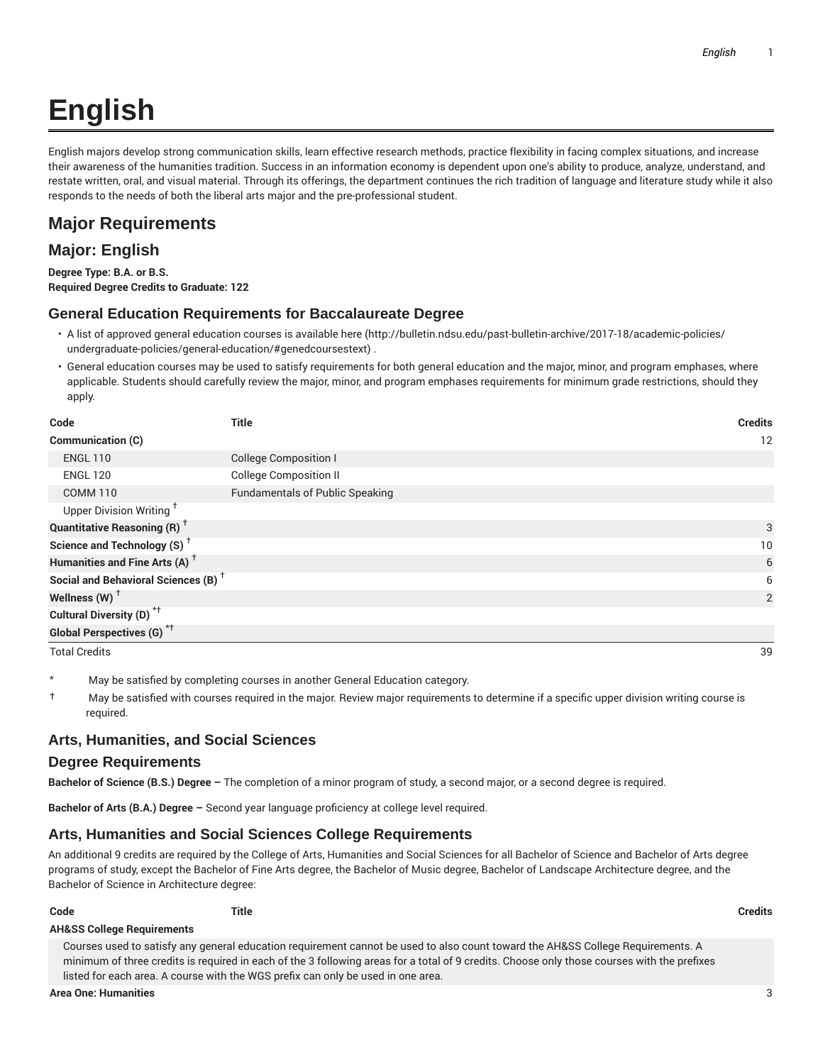# **English**

English majors develop strong communication skills, learn effective research methods, practice flexibility in facing complex situations, and increase their awareness of the humanities tradition. Success in an information economy is dependent upon one's ability to produce, analyze, understand, and restate written, oral, and visual material. Through its offerings, the department continues the rich tradition of language and literature study while it also responds to the needs of both the liberal arts major and the pre-professional student.

# **Major Requirements**

## **Major: English**

**Degree Type: B.A. or B.S. Required Degree Credits to Graduate: 122**

#### **General Education Requirements for Baccalaureate Degree**

- A list of approved general education courses is available here (http://bulletin.ndsu.edu/past-bulletin-archive/2017-18/academic-policies/ undergraduate-policies/general-education/#genedcoursestext) .
- General education courses may be used to satisfy requirements for both general education and the major, minor, and program emphases, where applicable. Students should carefully review the major, minor, and program emphases requirements for minimum grade restrictions, should they apply.

| Code                                            | Title                                  | <b>Credits</b> |
|-------------------------------------------------|----------------------------------------|----------------|
| Communication (C)                               |                                        | 12             |
| <b>ENGL 110</b>                                 | <b>College Composition I</b>           |                |
| <b>ENGL 120</b>                                 | <b>College Composition II</b>          |                |
| <b>COMM 110</b>                                 | <b>Fundamentals of Public Speaking</b> |                |
| Upper Division Writing <sup>+</sup>             |                                        |                |
| <b>Quantitative Reasoning (R)</b> <sup>†</sup>  |                                        | 3              |
| Science and Technology (S) <sup>+</sup>         |                                        | 10             |
| Humanities and Fine Arts (A) <sup>+</sup>       |                                        | 6              |
| Social and Behavioral Sciences (B) <sup>+</sup> |                                        | 6              |
| Wellness (W) $†$                                |                                        | 2              |
| Cultural Diversity (D) <sup>*†</sup>            |                                        |                |
| <b>Global Perspectives (G)</b> <sup>*†</sup>    |                                        |                |
| <b>Total Credits</b>                            |                                        | 39             |

- May be satisfied by completing courses in another General Education category.
- † May be satisfied with courses required in the major. Review major requirements to determine if a specific upper division writing course is required.

### **Arts, Humanities, and Social Sciences**

#### **Degree Requirements**

**Bachelor of Science (B.S.) Degree –** The completion of a minor program of study, a second major, or a second degree is required.

**Bachelor of Arts (B.A.) Degree –** Second year language proficiency at college level required.

### **Arts, Humanities and Social Sciences College Requirements**

An additional 9 credits are required by the College of Arts, Humanities and Social Sciences for all Bachelor of Science and Bachelor of Arts degree programs of study, except the Bachelor of Fine Arts degree, the Bachelor of Music degree, Bachelor of Landscape Architecture degree, and the Bachelor of Science in Architecture degree:

#### **AH&SS College Requirements**

Courses used to satisfy any general education requirement cannot be used to also count toward the AH&SS College Requirements. A minimum of three credits is required in each of the 3 following areas for a total of 9 credits. Choose only those courses with the prefixes listed for each area. A course with the WGS prefix can only be used in one area.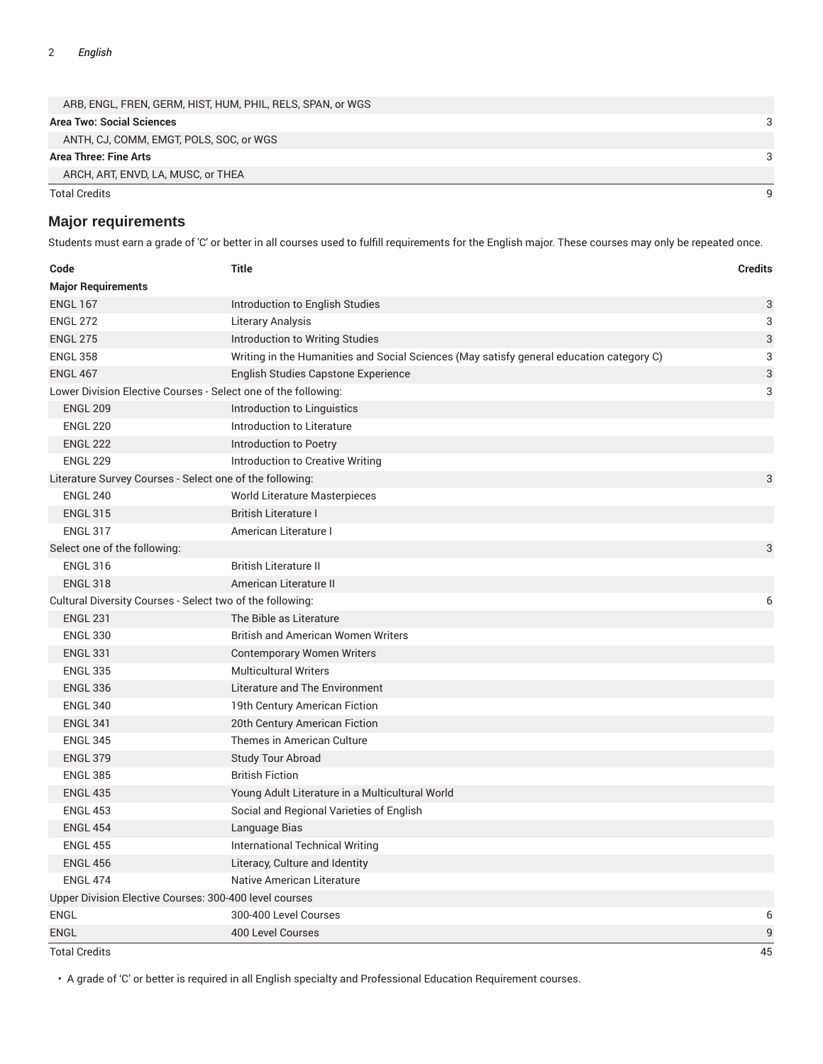| <b>Total Credits</b>                                       |  |
|------------------------------------------------------------|--|
| ARCH, ART, ENVD, LA, MUSC, or THEA                         |  |
| Area Three: Fine Arts                                      |  |
| ANTH, CJ, COMM, EMGT, POLS, SOC, or WGS                    |  |
| Area Two: Social Sciences                                  |  |
| ARB, ENGL, FREN, GERM, HIST, HUM, PHIL, RELS, SPAN, or WGS |  |

#### **Major requirements**

Students must earn a grade of 'C' or better in all courses used to fulfill requirements for the English major. These courses may only be repeated once.

| Code                                                           | <b>Title</b>                                                                             | <b>Credits</b> |  |
|----------------------------------------------------------------|------------------------------------------------------------------------------------------|----------------|--|
| <b>Major Requirements</b>                                      |                                                                                          |                |  |
| <b>ENGL 167</b>                                                | Introduction to English Studies                                                          | 3              |  |
| <b>ENGL 272</b>                                                | Literary Analysis                                                                        | 3              |  |
| <b>ENGL 275</b>                                                | Introduction to Writing Studies                                                          | 3              |  |
| <b>ENGL 358</b>                                                | Writing in the Humanities and Social Sciences (May satisfy general education category C) | 3              |  |
| <b>ENGL 467</b>                                                | English Studies Capstone Experience                                                      | 3              |  |
| Lower Division Elective Courses - Select one of the following: |                                                                                          | 3              |  |
| <b>ENGL 209</b>                                                | Introduction to Linguistics                                                              |                |  |
| <b>ENGL 220</b>                                                | Introduction to Literature                                                               |                |  |
| <b>ENGL 222</b>                                                | Introduction to Poetry                                                                   |                |  |
| <b>ENGL 229</b>                                                | Introduction to Creative Writing                                                         |                |  |
| Literature Survey Courses - Select one of the following:       |                                                                                          | 3              |  |
| <b>ENGL 240</b>                                                | <b>World Literature Masterpieces</b>                                                     |                |  |
| <b>ENGL 315</b>                                                | <b>British Literature I</b>                                                              |                |  |
| <b>ENGL 317</b>                                                | American Literature I                                                                    |                |  |
| Select one of the following:                                   |                                                                                          | 3              |  |
| <b>ENGL 316</b>                                                | <b>British Literature II</b>                                                             |                |  |
| <b>ENGL 318</b>                                                | American Literature II                                                                   |                |  |
| Cultural Diversity Courses - Select two of the following:      |                                                                                          | 6              |  |
| <b>ENGL 231</b>                                                | The Bible as Literature                                                                  |                |  |
| <b>ENGL 330</b>                                                | <b>British and American Women Writers</b>                                                |                |  |
| <b>ENGL 331</b>                                                | Contemporary Women Writers                                                               |                |  |
| <b>ENGL 335</b>                                                | <b>Multicultural Writers</b>                                                             |                |  |
| <b>ENGL 336</b>                                                | Literature and The Environment                                                           |                |  |
| <b>ENGL 340</b>                                                | 19th Century American Fiction                                                            |                |  |
| <b>ENGL 341</b>                                                | 20th Century American Fiction                                                            |                |  |
| <b>ENGL 345</b>                                                | Themes in American Culture                                                               |                |  |
| <b>ENGL 379</b>                                                | <b>Study Tour Abroad</b>                                                                 |                |  |
| <b>ENGL 385</b>                                                | <b>British Fiction</b>                                                                   |                |  |
| <b>ENGL 435</b>                                                | Young Adult Literature in a Multicultural World                                          |                |  |
| <b>ENGL 453</b>                                                | Social and Regional Varieties of English                                                 |                |  |
| <b>ENGL 454</b>                                                | Language Bias                                                                            |                |  |
| <b>ENGL 455</b>                                                | International Technical Writing                                                          |                |  |
| <b>ENGL 456</b>                                                | Literacy, Culture and Identity                                                           |                |  |
| <b>ENGL 474</b>                                                | Native American Literature                                                               |                |  |
| Upper Division Elective Courses: 300-400 level courses         |                                                                                          |                |  |
| <b>ENGL</b>                                                    | 300-400 Level Courses                                                                    | 6              |  |
| <b>ENGL</b>                                                    | 400 Level Courses                                                                        | 9              |  |

Total Credits 45

• A grade of 'C' or better is required in all English specialty and Professional Education Requirement courses.